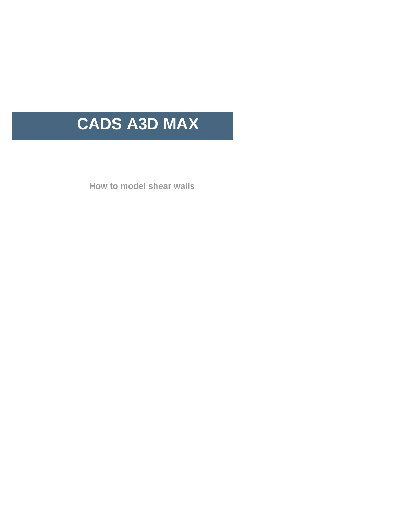# **CADS A3D MAX**

**How to model shear walls**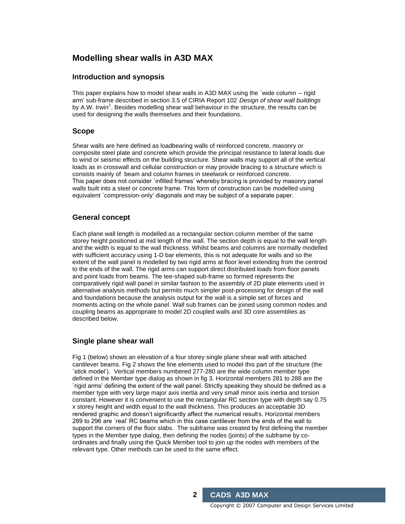# **Modelling shear walls in A3D MAX**

## **Introduction and synopsis**

This paper explains how to model shear walls in A3D MAX using the `wide column – rigid arm' sub-frame described in section 3.5 of CIRIA Report 102 Design of shear wall buildings by A.W. Irwin<sup>1</sup>. Besides modelling shear wall behaviour in the structure, the results can be used for designing the walls themselves and their foundations.

## **Scope**

Shear walls are here defined as loadbearing walls of reinforced concrete, masonry or composite steel plate and concrete which provide the principal resistance to lateral loads due to wind or seismic effects on the building structure. Shear walls may support all of the vertical loads as in crosswall and cellular construction or may provide bracing to a structure which is consists mainly of beam and column frames in steelwork or reinforced concrete. This paper does not consider `infilled frames' whereby bracing is provided by masonry panel walls built into a steel or concrete frame. This form of construction can be modelled using equivalent `compression-only' diagonals and may be subject of a separate paper.

## **General concept**

Each plane wall length is modelled as a rectangular section column member of the same storey height positioned at mid length of the wall. The section depth is equal to the wall length and the width is equal to the wall thickness. Whilst beams and columns are normally modelled with sufficient accuracy using 1-D bar elements, this is not adequate for walls and so the extent of the wall panel is modelled by two rigid arms at floor level extending from the centroid to the ends of the wall. The rigid arms can support direct distributed loads from floor panels and point loads from beams. The tee-shaped sub-frame so formed represents the comparatively rigid wall panel in similar fashion to the assembly of 2D plate elements used in alternative analysis methods but permits much simpler post-processing for design of the wall and foundations because the analysis output for the wall is a simple set of forces and moments acting on the whole panel. Wall sub frames can be joined using common nodes and coupling beams as appropriate to model 2D coupled walls and 3D core assemblies as described below.

## **Single plane shear wall**

Fig 1 (below) shows an elevation of a four storey single plane shear wall with attached cantilever beams. Fig 2 shows the line elements used to model this part of the structure (the `stick model'). Vertical members numbered 277-280 are the wide column member type defined in the Member type dialog as shown in fig 3. Horizontal members 281 to 288 are the `rigid arms' defining the extent of the wall panel. Strictly speaking they should be defined as a member type with very large major axis inertia and very small minor axis inertia and torsion constant. However it is convenient to use the rectangular RC section type with depth say 0.75 x storey height and width equal to the wall thickness. This produces an acceptable 3D rendered graphic and doesn't significantly affect the numerical results. Horizontal members 289 to 296 are `real'RC beams which in this case cantilever from the ends of the wall to support the corners of the floor slabs. The subframe was created by first defining the member types in the Member type dialog, then defining the nodes (joints) of the subframe by co ordinates and finally using the Quick Member tool to join up the nodes with members of the relevant type. Other methods can be used to the same effect.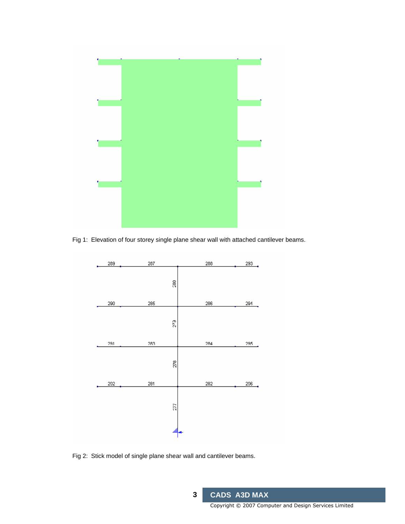

Fig 1: Elevation of four storey single plane shear wall with attached cantilever beams.



Fig 2: Stick model of single plane shear wall and cantilever beams.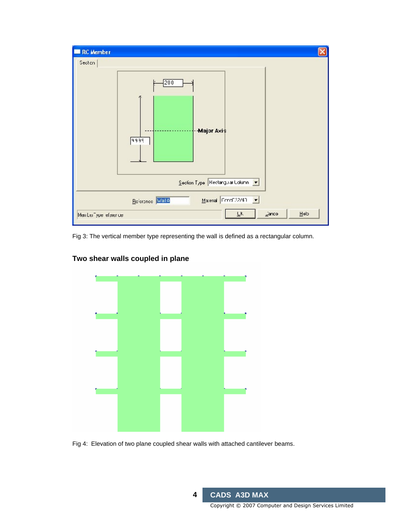

Fig 3: The vertical member type representing the wall is defined as a rectangular column.



# **Two shear walls coupled in plane**

Fig 4: Elevation of two plane coupled shear walls with attached cantilever beams.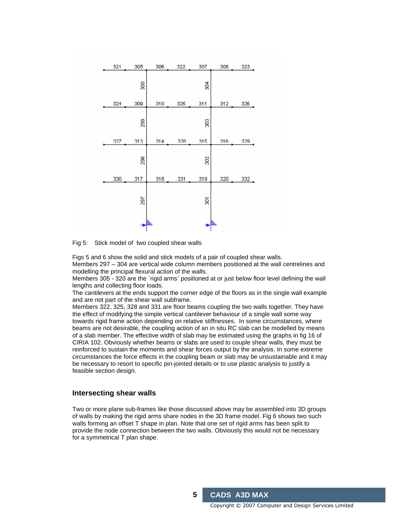

Fig 5: Stick model of two coupled shear walls

Figs 5 and 6 show the solid and stick models of a pair of coupled shear walls.

Members 297 – 304 are vertical wide column members positioned at the wall centrelines and modelling the principal flexural action of the walls.

Members 305 - 320 are the `rigid arms' positioned at or just below floor level defining the wall lengths and collecting floor loads.<br>The cantilevers at the ends support the corner edge of the floors as in the single wall example

and are not part of the shear wall subframe.

Members 322, 325, 328 and 331 are floor beams coupling the two walls together. They have the effect of modifying the simple vertical cantilever behaviour of a single wall some way towards rigid frame action depending on relative stiffnesses. In some circumstances, where beams are not desirable, the coupling action of an in situ RC slab can be modelled by means of a slab member. The effective width of slab may be estimated using the graphs in fig 16 of CIRIA 102. Obviously whether beams or slabs are used to couple shear walls, they must be reinforced to sustain the moments and shear forces output by the analysis. In some extreme circumstances the force effects in the coupling beam or slab may be unsustainable and it may be necessary to resort to specific pin-jointed details or to use plastic analysis to justify a feasible section design.

#### **Intersecting shear walls**

Two or more plane sub-frames like those discussed above may be assembled into 3D groups of walls by making the rigid arms share nodes in the 3D frame model. Fig 6 shows two such walls forming an offset T shape in plan. Note that one set of rigid arms has been split to provide the node connection between the two walls. Obviously this would not be necessary for a symmetrical T plan shape.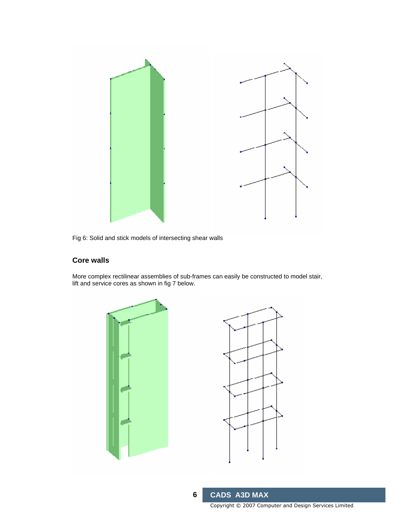

Fig 6: Solid and stick models of intersecting shear walls

# **Core walls**

More complex rectilinear assemblies of sub-frames can easily be constructed to model stair, lift and service cores as shown in fig 7 below.



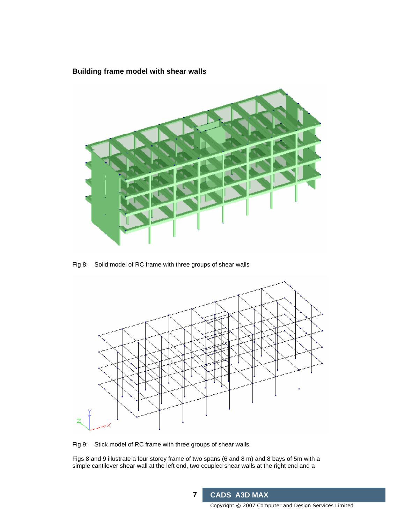# **Building frame modelwith shear walls**



Fig 8: Solid model of RC frame with three groups of shear walls



Fig 9: Stick model of RC frame with three groups of shear walls

Figs 8 and 9 illustrate a four storey frame of two spans (6 and 8 m) and 8 bays of 5m with a simple cantilever shear wall at the left end, two coupled shear walls at the right end and a

**7 CADS A3D MAX**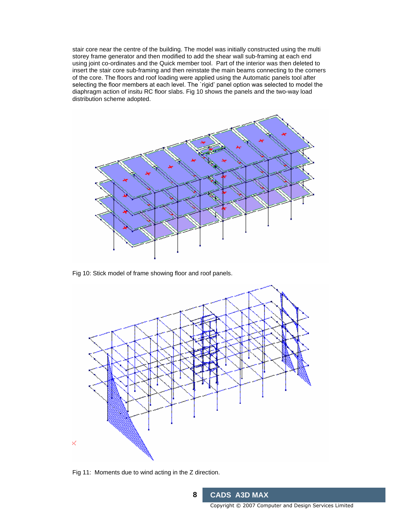stair core near the centre of the building. The model was initially constructed using the multi storey frame generator and then modified to add the shear wall sub-framing at each end using joint co-ordinates and the Quick member tool. Part of the interior was then deleted to insert the stair core sub-framing and then reinstate the main beams connecting to the corners of the core. The floors and roof loading were applied using the Automatic panels tool after selecting the floor members at each level. The `rigid' panel option was selected to model the diaphragm action of insitu RC floor slabs. Fig 10 shows the panels and the two-way load distribution scheme adopted.



Fig 10: Stick model of frame showing floor and roof panels.



Fig 11: Moments due to wind acting in the Z direction.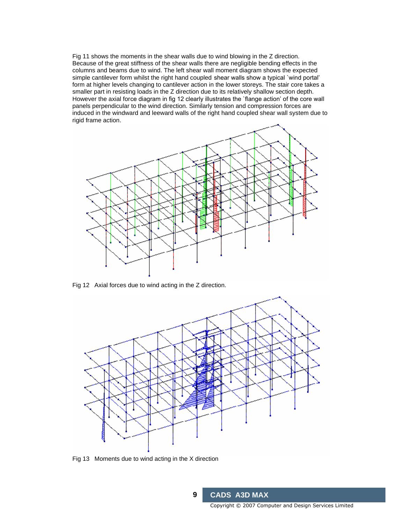Fig 11 shows the moments in the shear walls due to wind blowing in the Z direction. Because of the great stiffness of the shear walls there are negligible bending effects in the columns and beams due to wind. The left shear wall moment diagram shows the expected simple cantilever form whilst the right hand coupled shear walls show a typical `wind portal' form at higher levels changing to cantilever action in the lower storeys. The stair core takes a smaller part in resisting loads in the Z direction due to its relatively shallow section depth. However the axial force diagram in fig 12 clearly illustrates the `flange action' of the core wall panels perpendicular to the wind direction. Similarly tension and compression forces are induced in the windward and leeward walls of the right hand coupled shear wall system due to rigid frame action.



Fig 12 Axial forces due to wind acting in the Z direction.



Fig 13 Moments due to wind acting in the X direction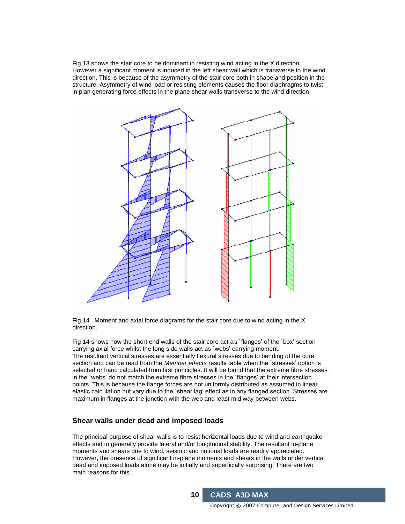Fig 13 shows the stair core to be dominant in resisting wind acting in the X direction. However a significant moment is induced in the left shear wall which istransverse to the wind direction. This is because of the asymmetry of the stair core both in shape and position in the structure. Asymmetry of wind load or resisting elements causes the floor diaphragms to twist in plan generating force effects in the plane shear walls transverse to the wind direction.



Fig 14 Moment and axial force diagrams for the stair core due to wind acting in the X direction.

Fig 14 shows how the short end walls of the stair core act as `flanges' of the `box' section carrying axial force whilst the long side walls act as `webs' carrying moment. The resultant vertical stresses are essentially flexural stresses due to bending of the core section and can be read from the Member effects results table when the `stresses' option is selected or hand calculated from first principles. It will be found that the extreme fibre stresses in the `webs' do not match the extreme fibre stresses in the `flanges' at their intersection points. This is because the flange forces are not uniformly distributed as assumed in linear elastic calculation but vary due to the `shear lag' effect as in any flanged section. Stresses are maximum in flanges at the junction with the web and least mid way between webs.

#### **Shear** walls under dead and **imposed** loads

The principal purpose of shear walls is to resist horizontal loads due to wind and earthquake effects and to generally provide lateral and/or longitudinal stability. The resultant in-plane moments and shears due to wind, seismic and notional loads are readily appreciated. However, the presence of significant in-plane moments and shears in the walls under vertical dead and imposed loads alone may be initially and superficially surprising. There are two main reasons for this.

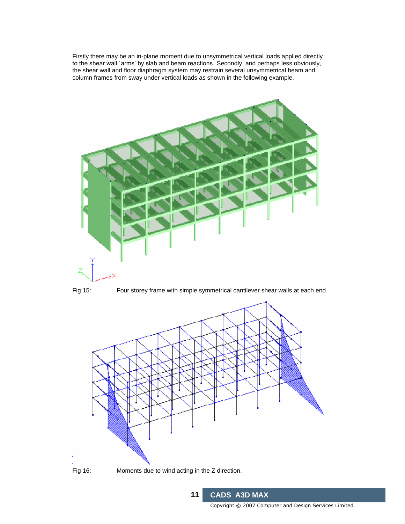Firstly there may be an in-plane moment due to unsymmetrical vertical loads applied directly to the shear wall`arms' by slab and beam reactions. Secondly, and perhaps less obviously, the shear wall and floor diaphragm system may restrain several unsymmetrical beam and column frames from sway under vertical loads as shown in the following example.





Fig 15: Four storey frame with simple symmetrical cantilever shear walls at each end.

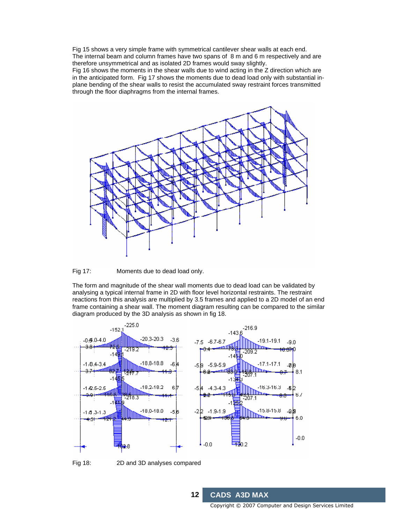Fig 15 shows a very simple frame with symmetrical cantilever shear walls at each end. The internal beam and column frames have two spans of 8 m and 6 m respectively and are therefore unsymmetrical and as isolated 2D frames would sway slightly.

Fig 16 shows the moments in the shear walls due to wind acting in the Z direction which are in the anticipated form. Fig 17 shows the moments due to dead load only with substantial in plane bending of the shear walls to resist the accumulated sway restraint forces transmitted through the floor diaphragms from the internal frames.



Fig 17: Moments due to dead load only.

The form and magnitude of the shear wall moments due to dead load can be validated by analysing a typical internal frame in 2D with floor level horizontal restraints. The restraint reactions from this analysis are multiplied by 3.5 frames and applied to a 2D model of an end frame containing a shear wall. The moment diagram resulting can be compared to the similar diagram produced by the 3D analysis as shown in fig 18.



**12 CADS A3D MAX**